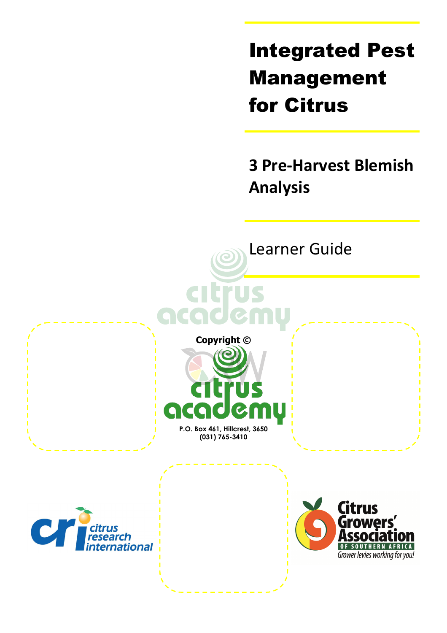Integrated Pest Management for Citrus

**3 Pre-Harvest Blemish Analysis** 

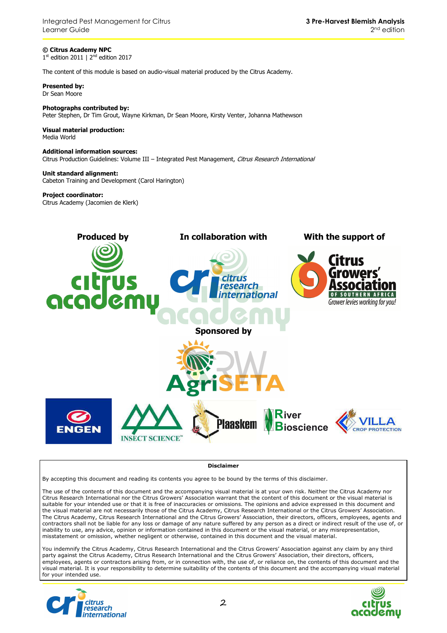**© Citrus Academy NPC**  1<sup>st</sup> edition 2011 | 2<sup>nd</sup> edition 2017

The content of this module is based on audio-visual material produced by the Citrus Academy.

**Presented by:**  Dr Sean Moore

**Photographs contributed by:**  Peter Stephen, Dr Tim Grout, Wayne Kirkman, Dr Sean Moore, Kirsty Venter, Johanna Mathewson

**Visual material production:**  Media World

**Additional information sources:**  Citrus Production Guidelines: Volume III - Integrated Pest Management, Citrus Research International

**Unit standard alignment:** Cabeton Training and Development (Carol Harington)

#### **Project coordinator:**

Citrus Academy (Jacomien de Klerk)



**Disclaimer**

By accepting this document and reading its contents you agree to be bound by the terms of this disclaimer.

The use of the contents of this document and the accompanying visual material is at your own risk. Neither the Citrus Academy nor Citrus Research International nor the Citrus Growers' Association warrant that the content of this document or the visual material is suitable for your intended use or that it is free of inaccuracies or omissions. The opinions and advice expressed in this document and the visual material are not necessarily those of the Citrus Academy, Citrus Research International or the Citrus Growers' Association. The Citrus Academy, Citrus Research International and the Citrus Growers' Association, their directors, officers, employees, agents and contractors shall not be liable for any loss or damage of any nature suffered by any person as a direct or indirect result of the use of, or inability to use, any advice, opinion or information contained in this document or the visual material, or any misrepresentation, misstatement or omission, whether negligent or otherwise, contained in this document and the visual material.

You indemnify the Citrus Academy, Citrus Research International and the Citrus Growers' Association against any claim by any third party against the Citrus Academy, Citrus Research International and the Citrus Growers' Association, their directors, officers, employees, agents or contractors arising from, or in connection with, the use of, or reliance on, the contents of this document and the visual material. It is your responsibility to determine suitability of the contents of this document and the accompanying visual material for your intended use.



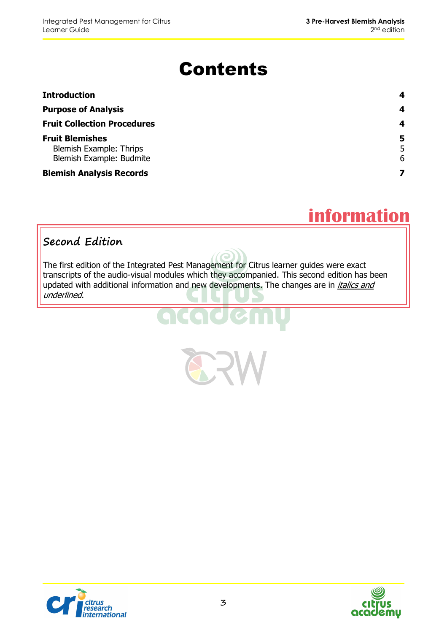# Contents

| <b>Introduction</b>                                                           | 4           |
|-------------------------------------------------------------------------------|-------------|
| <b>Purpose of Analysis</b>                                                    | 4           |
| <b>Fruit Collection Procedures</b>                                            | 4           |
| <b>Fruit Blemishes</b><br>Blemish Example: Thrips<br>Blemish Example: Budmite | 5<br>5<br>6 |
| <b>Blemish Analysis Records</b>                                               |             |

# **information**

#### **Second Edition**

The first edition of the Integrated Pest Management for Citrus learner guides were exact transcripts of the audio-visual modules which they accompanied. This second edition has been updated with additional information and new developments. The changes are in *italics and* underlined.



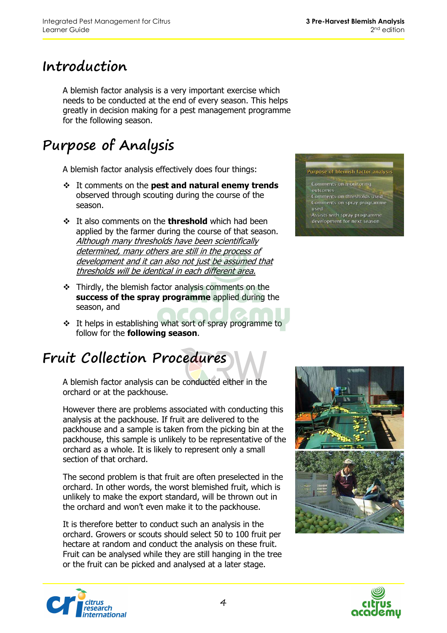#### **Introduction**

A blemish factor analysis is a very important exercise which needs to be conducted at the end of every season. This helps greatly in decision making for a pest management programme for the following season.

## **Purpose of Analysis**

A blemish factor analysis effectively does four things:

- It comments on the **pest and natural enemy trends** observed through scouting during the course of the season.
- **It also comments on the threshold** which had been applied by the farmer during the course of that season. Although many thresholds have been scientifically determined, many others are still in the process of development and it can also not just be assumed that thresholds will be identical in each different area.
- $\div$  Thirdly, the blemish factor analysis comments on the **success of the spray programme** applied during the season, and
- $\cdot$  It helps in establishing what sort of spray programme to follow for the **following season**.

## **Fruit Collection Procedures**

A blemish factor analysis can be conducted either in the orchard or at the packhouse.

However there are problems associated with conducting this analysis at the packhouse. If fruit are delivered to the packhouse and a sample is taken from the picking bin at the packhouse, this sample is unlikely to be representative of the orchard as a whole. It is likely to represent only a small section of that orchard.

The second problem is that fruit are often preselected in the orchard. In other words, the worst blemished fruit, which is unlikely to make the export standard, will be thrown out in the orchard and won't even make it to the packhouse.

It is therefore better to conduct such an analysis in the orchard. Growers or scouts should select 50 to 100 fruit per hectare at random and conduct the analysis on these fruit. Fruit can be analysed while they are still hanging in the tree or the fruit can be picked and analysed at a later stage.



#### Comments on monitoring

- Comments on thresholds used
- Comments on spray programme used
- Assists with spray programme development for next season





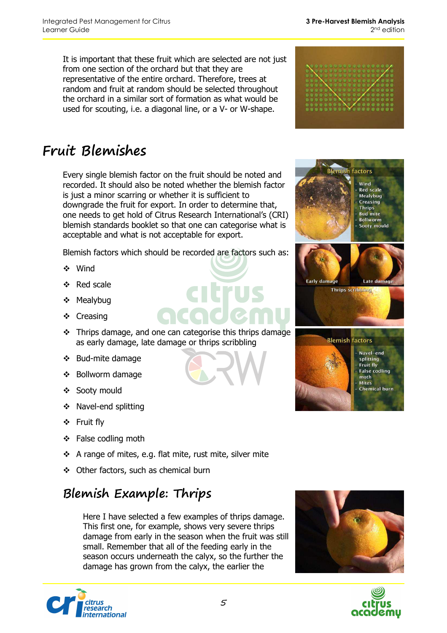It is important that these fruit which are selected are not just from one section of the orchard but that they are representative of the entire orchard. Therefore, trees at random and fruit at random should be selected throughout the orchard in a similar sort of formation as what would be used for scouting, i.e. a diagonal line, or a V- or W-shape.



## **Fruit Blemishes**

Every single blemish factor on the fruit should be noted and recorded. It should also be noted whether the blemish factor is just a minor scarring or whether it is sufficient to downgrade the fruit for export. In order to determine that, one needs to get hold of Citrus Research International's (CRI) blemish standards booklet so that one can categorise what is acceptable and what is not acceptable for export.

Blemish factors which should be recorded are factors such as:

- Wind
- ❖ Red scale
- ❖ Mealybug
- ❖ Creasing
- Thrips damage, and one can categorise this thrips damage as early damage, late damage or thrips scribbling
- ❖ Bud-mite damage
- ❖ Bollworm damage
- ❖ Sooty mould
- ❖ Navel-end splitting
- Fruit fly
- ❖ False codling moth
- $\div$  A range of mites, e.g. flat mite, rust mite, silver mite
- Other factors, such as chemical burn

#### **Blemish Example: Thrips**

Here I have selected a few examples of thrips damage. This first one, for example, shows very severe thrips damage from early in the season when the fruit was still small. Remember that all of the feeding early in the season occurs underneath the calyx, so the further the damage has grown from the calyx, the earlier the







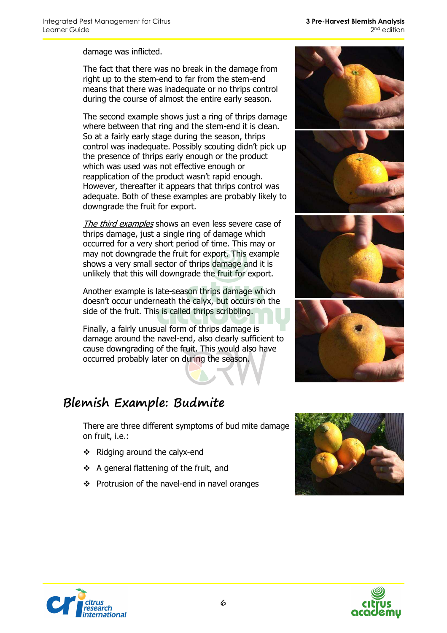**3 Pre-Harvest Blemish Analysis**  2<sup>nd</sup> edition

damage was inflicted.

The fact that there was no break in the damage from right up to the stem-end to far from the stem-end means that there was inadequate or no thrips control during the course of almost the entire early season.

The second example shows just a ring of thrips damage where between that ring and the stem-end it is clean. So at a fairly early stage during the season, thrips control was inadequate. Possibly scouting didn't pick up the presence of thrips early enough or the product which was used was not effective enough or reapplication of the product wasn't rapid enough. However, thereafter it appears that thrips control was adequate. Both of these examples are probably likely to downgrade the fruit for export.

The third examples shows an even less severe case of thrips damage, just a single ring of damage which occurred for a very short period of time. This may or may not downgrade the fruit for export. This example shows a very small sector of thrips damage and it is unlikely that this will downgrade the fruit for export.

Another example is late-season thrips damage which doesn't occur underneath the calyx, but occurs on the side of the fruit. This is called thrips scribbling.

Finally, a fairly unusual form of thrips damage is damage around the navel-end, also clearly sufficient to cause downgrading of the fruit. This would also have occurred probably later on during the season.

#### **Blemish Example: Budmite**

There are three different symptoms of bud mite damage on fruit, i.e.:

- ❖ Ridging around the calyx-end
- $\div$  A general flattening of the fruit, and
- ❖ Protrusion of the navel-end in navel oranges









nnus<br>esearch<br>iternational

6